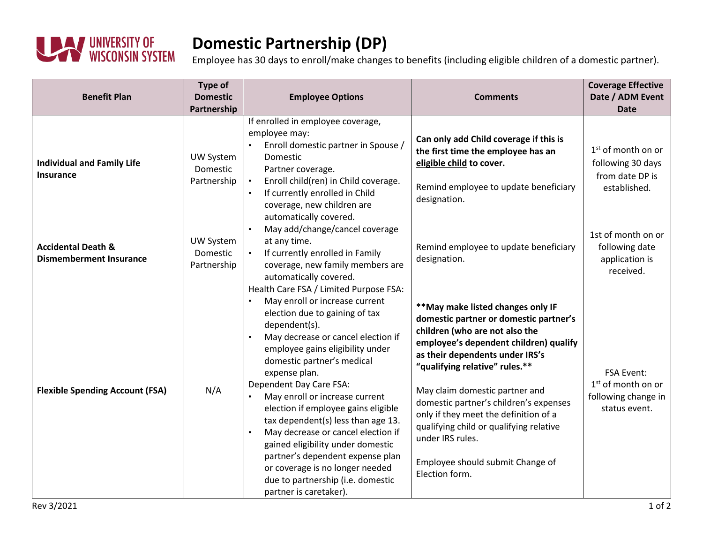

## **Domestic Partnership (DP)**

Employee has 30 days to enroll/make changes to benefits (including eligible children of a domestic partner).

| <b>Benefit Plan</b>                                             | Type of<br><b>Domestic</b><br>Partnership   | <b>Employee Options</b>                                                                                                                                                                                                                                                                                                                                                                                                                                                                                                                                                                                         | <b>Comments</b>                                                                                                                                                                                                                                                                                                                                                                                                                                                         | <b>Coverage Effective</b><br>Date / ADM Event<br><b>Date</b>                      |
|-----------------------------------------------------------------|---------------------------------------------|-----------------------------------------------------------------------------------------------------------------------------------------------------------------------------------------------------------------------------------------------------------------------------------------------------------------------------------------------------------------------------------------------------------------------------------------------------------------------------------------------------------------------------------------------------------------------------------------------------------------|-------------------------------------------------------------------------------------------------------------------------------------------------------------------------------------------------------------------------------------------------------------------------------------------------------------------------------------------------------------------------------------------------------------------------------------------------------------------------|-----------------------------------------------------------------------------------|
| <b>Individual and Family Life</b><br>Insurance                  | UW System<br>Domestic<br>Partnership        | If enrolled in employee coverage,<br>employee may:<br>Enroll domestic partner in Spouse /<br>Domestic<br>Partner coverage.<br>Enroll child(ren) in Child coverage.<br>If currently enrolled in Child<br>coverage, new children are<br>automatically covered.                                                                                                                                                                                                                                                                                                                                                    | Can only add Child coverage if this is<br>the first time the employee has an<br>eligible child to cover.<br>Remind employee to update beneficiary<br>designation.                                                                                                                                                                                                                                                                                                       | $1st$ of month on or<br>following 30 days<br>from date DP is<br>established.      |
| <b>Accidental Death &amp;</b><br><b>Dismemberment Insurance</b> | <b>UW System</b><br>Domestic<br>Partnership | May add/change/cancel coverage<br>at any time.<br>If currently enrolled in Family<br>coverage, new family members are<br>automatically covered.                                                                                                                                                                                                                                                                                                                                                                                                                                                                 | Remind employee to update beneficiary<br>designation.                                                                                                                                                                                                                                                                                                                                                                                                                   | 1st of month on or<br>following date<br>application is<br>received.               |
| <b>Flexible Spending Account (FSA)</b>                          | N/A                                         | Health Care FSA / Limited Purpose FSA:<br>May enroll or increase current<br>election due to gaining of tax<br>dependent(s).<br>May decrease or cancel election if<br>employee gains eligibility under<br>domestic partner's medical<br>expense plan.<br>Dependent Day Care FSA:<br>May enroll or increase current<br>election if employee gains eligible<br>tax dependent(s) less than age 13.<br>May decrease or cancel election if<br>gained eligibility under domestic<br>partner's dependent expense plan<br>or coverage is no longer needed<br>due to partnership (i.e. domestic<br>partner is caretaker). | ** May make listed changes only IF<br>domestic partner or domestic partner's<br>children (who are not also the<br>employee's dependent children) qualify<br>as their dependents under IRS's<br>"qualifying relative" rules.**<br>May claim domestic partner and<br>domestic partner's children's expenses<br>only if they meet the definition of a<br>qualifying child or qualifying relative<br>under IRS rules.<br>Employee should submit Change of<br>Election form. | <b>FSA Event:</b><br>$1st$ of month on or<br>following change in<br>status event. |